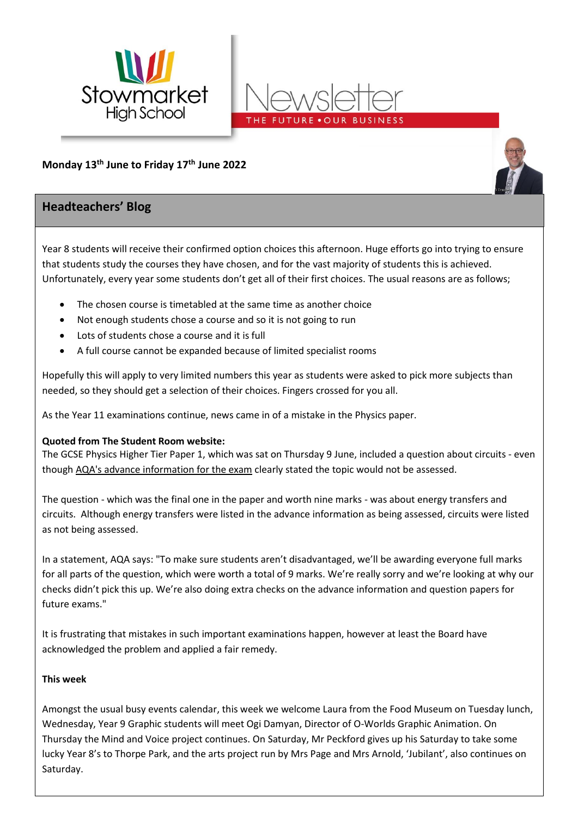



# **Monday 13th June to Friday 17 th June 2022**

# **Headteachers' Blog**

Year 8 students will receive their confirmed option choices this afternoon. Huge efforts go into trying to ensure that students study the courses they have chosen, and for the vast majority of students this is achieved. Unfortunately, every year some students don't get all of their first choices. The usual reasons are as follows;

- The chosen course is timetabled at the same time as another choice
- Not enough students chose a course and so it is not going to run
- Lots of students chose a course and it is full
- A full course cannot be expanded because of limited specialist rooms

Hopefully this will apply to very limited numbers this year as students were asked to pick more subjects than needed, so they should get a selection of their choices. Fingers crossed for you all.

As the Year 11 examinations continue, news came in of a mistake in the Physics paper.

## **Quoted from The Student Room website:**

The GCSE Physics Higher Tier Paper 1, which was sat on Thursday 9 June, included a question about circuits - even though [AQA's advance information for the exam](https://filestore.aqa.org.uk/content/summer-2022/AQA-8463-AI-22.PDF) clearly stated the topic would not be assessed.

The question - which was the final one in the paper and worth nine marks - was about energy transfers and circuits. Although energy transfers were listed in the advance information as being assessed, circuits were listed as not being assessed.

In a statement, AQA says: "To make sure students aren't disadvantaged, we'll be awarding everyone full marks for all parts of the question, which were worth a total of 9 marks. We're really sorry and we're looking at why our checks didn't pick this up. We're also doing extra checks on the advance information and question papers for future exams."

It is frustrating that mistakes in such important examinations happen, however at least the Board have acknowledged the problem and applied a fair remedy.

## **This week**

Amongst the usual busy events calendar, this week we welcome Laura from the Food Museum on Tuesday lunch, Wednesday, Year 9 Graphic students will meet Ogi Damyan, Director of O-Worlds Graphic Animation. On Thursday the Mind and Voice project continues. On Saturday, Mr Peckford gives up his Saturday to take some lucky Year 8's to Thorpe Park, and the arts project run by Mrs Page and Mrs Arnold, 'Jubilant', also continues on Saturday.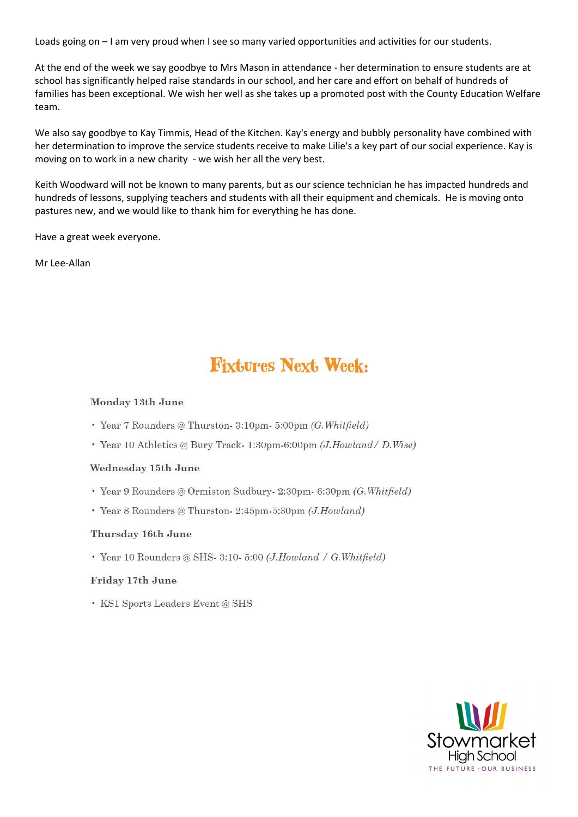Loads going on – I am very proud when I see so many varied opportunities and activities for our students.

At the end of the week we say goodbye to Mrs Mason in attendance - her determination to ensure students are at school has significantly helped raise standards in our school, and her care and effort on behalf of hundreds of families has been exceptional. We wish her well as she takes up a promoted post with the County Education Welfare team.

We also say goodbye to Kay Timmis, Head of the Kitchen. Kay's energy and bubbly personality have combined with her determination to improve the service students receive to make Lilie's a key part of our social experience. Kay is moving on to work in a new charity - we wish her all the very best.

Keith Woodward will not be known to many parents, but as our science technician he has impacted hundreds and hundreds of lessons, supplying teachers and students with all their equipment and chemicals. He is moving onto pastures new, and we would like to thank him for everything he has done.

Have a great week everyone.

Mr Lee-Allan

# **Fixtures Next, Week:**

#### Monday 13th June

- · Year 7 Rounders @ Thurston- 3:10pm- 5:00pm (G. Whitfield)
- · Year 10 Athletics @ Bury Track-1:30pm-6:00pm (J.Howland / D.Wise)

#### Wednesday 15th June

- · Year 9 Rounders @ Ormiston Sudbury 2:30pm 6:30pm (G. Whitfield)
- · Year 8 Rounders @ Thurston- 2:45pm-5:30pm (J.Howland)

#### Thursday 16th June

· Year 10 Rounders @ SHS- 3:10- 5:00 (J.Howland / G.Whitfield)

#### Friday 17th June

• KS1 Sports Leaders Event @ SHS

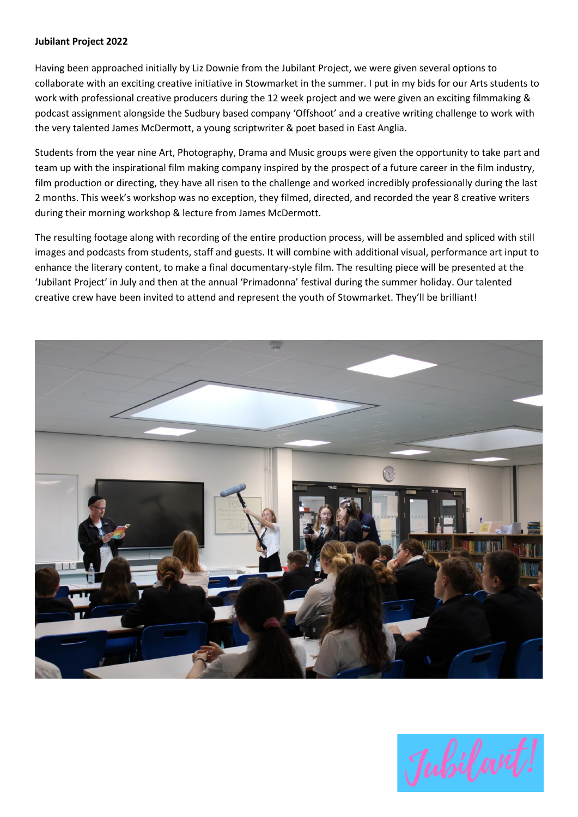#### **Jubilant Project 2022**

Having been approached initially by Liz Downie from the Jubilant Project, we were given several options to collaborate with an exciting creative initiative in Stowmarket in the summer. I put in my bids for our Arts students to work with professional creative producers during the 12 week project and we were given an exciting filmmaking & podcast assignment alongside the Sudbury based company 'Offshoot' and a creative writing challenge to work with the very talented James McDermott, a young scriptwriter & poet based in East Anglia.

Students from the year nine Art, Photography, Drama and Music groups were given the opportunity to take part and team up with the inspirational film making company inspired by the prospect of a future career in the film industry, film production or directing, they have all risen to the challenge and worked incredibly professionally during the last 2 months. This week's workshop was no exception, they filmed, directed, and recorded the year 8 creative writers during their morning workshop & lecture from James McDermott.

The resulting footage along with recording of the entire production process, will be assembled and spliced with still images and podcasts from students, staff and guests. It will combine with additional visual, performance art input to enhance the literary content, to make a final documentary-style film. The resulting piece will be presented at the 'Jubilant Project' in July and then at the annual 'Primadonna' festival during the summer holiday. Our talented creative crew have been invited to attend and represent the youth of Stowmarket. They'll be brilliant!